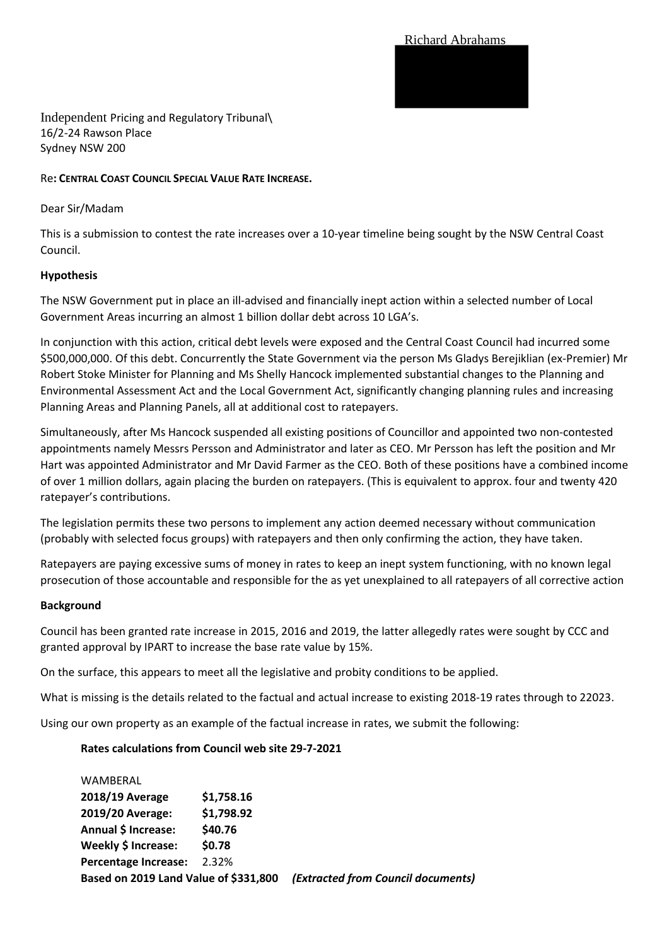Richard Abrahams

Independent Pricing and Regulatory Tribunal\ 16/2-24 Rawson Place Sydney NSW 200

# Re**: CENTRAL COAST COUNCIL SPECIAL VALUE RATE INCREASE.**

### Dear Sir/Madam

This is a submission to contest the rate increases over a 10-year timeline being sought by the NSW Central Coast Council.

### **Hypothesis**

The NSW Government put in place an ill-advised and financially inept action within a selected number of Local Government Areas incurring an almost 1 billion dollar debt across 10 LGA's.

In conjunction with this action, critical debt levels were exposed and the Central Coast Council had incurred some \$500,000,000. Of this debt. Concurrently the State Government via the person Ms Gladys Berejiklian (ex-Premier) Mr Robert Stoke Minister for Planning and Ms Shelly Hancock implemented substantial changes to the Planning and Environmental Assessment Act and the Local Government Act, significantly changing planning rules and increasing Planning Areas and Planning Panels, all at additional cost to ratepayers.

Simultaneously, after Ms Hancock suspended all existing positions of Councillor and appointed two non-contested appointments namely Messrs Persson and Administrator and later as CEO. Mr Persson has left the position and Mr Hart was appointed Administrator and Mr David Farmer as the CEO. Both of these positions have a combined income of over 1 million dollars, again placing the burden on ratepayers. (This is equivalent to approx. four and twenty 420 ratepayer's contributions.

The legislation permits these two persons to implement any action deemed necessary without communication (probably with selected focus groups) with ratepayers and then only confirming the action, they have taken.

Ratepayers are paying excessive sums of money in rates to keep an inept system functioning, with no known legal prosecution of those accountable and responsible for the as yet unexplained to all ratepayers of all corrective action

#### **Background**

Council has been granted rate increase in 2015, 2016 and 2019, the latter allegedly rates were sought by CCC and granted approval by IPART to increase the base rate value by 15%.

On the surface, this appears to meet all the legislative and probity conditions to be applied.

What is missing is the details related to the factual and actual increase to existing 2018-19 rates through to 22023.

Using our own property as an example of the factual increase in rates, we submit the following:

#### **Rates calculations from Council web site 29-7-2021**

| Based on 2019 Land Value of \$331,800 |            | (Extracted from Council documents) |
|---------------------------------------|------------|------------------------------------|
| <b>Percentage Increase:</b>           | 2.32%      |                                    |
| Weekly \$ Increase:                   | \$0.78     |                                    |
| Annual \$ Increase:                   | \$40.76    |                                    |
| 2019/20 Average:                      | \$1,798.92 |                                    |
| 2018/19 Average                       | \$1,758.16 |                                    |
| WAMBERAL                              |            |                                    |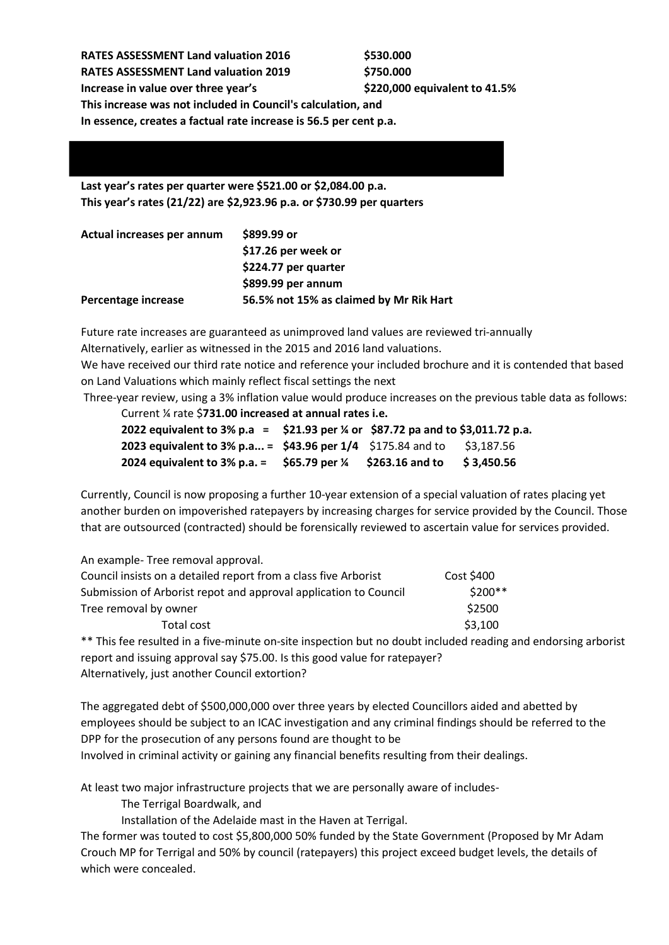| <b>RATES ASSESSMENT Land valuation 2016</b>                       | \$530.000                     |  |  |  |  |
|-------------------------------------------------------------------|-------------------------------|--|--|--|--|
| <b>RATES ASSESSMENT Land valuation 2019</b>                       | \$750.000                     |  |  |  |  |
| Increase in value over three year's                               | \$220,000 equivalent to 41.5% |  |  |  |  |
| This increase was not included in Council's calculation, and      |                               |  |  |  |  |
| In essence, creates a factual rate increase is 56.5 per cent p.a. |                               |  |  |  |  |

# **Last year's rates per quarter were \$521.00 or \$2,084.00 p.a. This year's rates (21/22) are \$2,923.96 p.a. or \$730.99 per quarters**

| Actual increases per annum | \$899.99 or                             |  |
|----------------------------|-----------------------------------------|--|
|                            | \$17.26 per week or                     |  |
|                            | \$224.77 per quarter                    |  |
|                            | $$899.99$ per annum                     |  |
| Percentage increase        | 56.5% not 15% as claimed by Mr Rik Hart |  |

Future rate increases are guaranteed as unimproved land values are reviewed tri-annually

Alternatively, earlier as witnessed in the 2015 and 2016 land valuations.

We have received our third rate notice and reference your included brochure and it is contended that based on Land Valuations which mainly reflect fiscal settings the next

Three-year review, using a 3% inflation value would produce increases on the previous table data as follows:

Current ¼ rate \$**731.00 increased at annual rates i.e.**

| 2022 equivalent to 3% p.a = \$21.93 per % or \$87.72 pa and to \$3,011.72 p.a. |               |                 |            |
|--------------------------------------------------------------------------------|---------------|-----------------|------------|
| 2023 equivalent to 3% p.a = \$43.96 per $1/4$ \$175.84 and to                  |               |                 | \$3,187.56 |
| 2024 equivalent to $3\%$ p.a. =                                                | \$65.79 per ¼ | \$263.16 and to | \$3,450.56 |

Currently, Council is now proposing a further 10-year extension of a special valuation of rates placing yet another burden on impoverished ratepayers by increasing charges for service provided by the Council. Those that are outsourced (contracted) should be forensically reviewed to ascertain value for services provided.

| An example-Tree removal approval.                                |            |
|------------------------------------------------------------------|------------|
| Council insists on a detailed report from a class five Arborist  | Cost \$400 |
| Submission of Arborist repot and approval application to Council | $$200**$   |
| Tree removal by owner                                            | \$2500     |
| Total cost                                                       | \$3,100    |

\*\* This fee resulted in a five-minute on-site inspection but no doubt included reading and endorsing arborist report and issuing approval say \$75.00. Is this good value for ratepayer? Alternatively, just another Council extortion?

The aggregated debt of \$500,000,000 over three years by elected Councillors aided and abetted by employees should be subject to an ICAC investigation and any criminal findings should be referred to the DPP for the prosecution of any persons found are thought to be Involved in criminal activity or gaining any financial benefits resulting from their dealings.

At least two major infrastructure projects that we are personally aware of includes-

The Terrigal Boardwalk, and

Installation of the Adelaide mast in the Haven at Terrigal.

The former was touted to cost \$5,800,000 50% funded by the State Government (Proposed by Mr Adam Crouch MP for Terrigal and 50% by council (ratepayers) this project exceed budget levels, the details of which were concealed.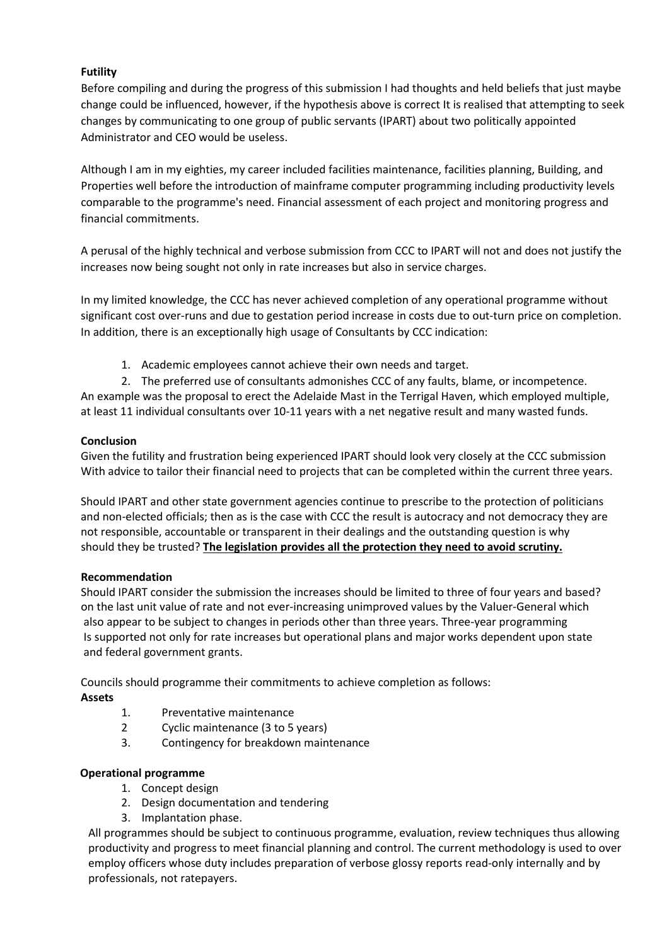# **Futility**

Before compiling and during the progress of this submission I had thoughts and held beliefs that just maybe change could be influenced, however, if the hypothesis above is correct It is realised that attempting to seek changes by communicating to one group of public servants (IPART) about two politically appointed Administrator and CEO would be useless.

Although I am in my eighties, my career included facilities maintenance, facilities planning, Building, and Properties well before the introduction of mainframe computer programming including productivity levels comparable to the programme's need. Financial assessment of each project and monitoring progress and financial commitments.

A perusal of the highly technical and verbose submission from CCC to IPART will not and does not justify the increases now being sought not only in rate increases but also in service charges.

In my limited knowledge, the CCC has never achieved completion of any operational programme without significant cost over-runs and due to gestation period increase in costs due to out-turn price on completion. In addition, there is an exceptionally high usage of Consultants by CCC indication:

1. Academic employees cannot achieve their own needs and target.

2. The preferred use of consultants admonishes CCC of any faults, blame, or incompetence. An example was the proposal to erect the Adelaide Mast in the Terrigal Haven, which employed multiple, at least 11 individual consultants over 10-11 years with a net negative result and many wasted funds.

# **Conclusion**

Given the futility and frustration being experienced IPART should look very closely at the CCC submission With advice to tailor their financial need to projects that can be completed within the current three years.

Should IPART and other state government agencies continue to prescribe to the protection of politicians and non-elected officials; then as is the case with CCC the result is autocracy and not democracy they are not responsible, accountable or transparent in their dealings and the outstanding question is why should they be trusted? **The legislation provides all the protection they need to avoid scrutiny.**

# **Recommendation**

Should IPART consider the submission the increases should be limited to three of four years and based? on the last unit value of rate and not ever-increasing unimproved values by the Valuer-General which also appear to be subject to changes in periods other than three years. Three-year programming Is supported not only for rate increases but operational plans and major works dependent upon state and federal government grants.

Councils should programme their commitments to achieve completion as follows:

# **Assets**

- 1. Preventative maintenance
- 2 Cyclic maintenance (3 to 5 years)
- 3. Contingency for breakdown maintenance

# **Operational programme**

- 1. Concept design
- 2. Design documentation and tendering
- 3. Implantation phase.

All programmes should be subject to continuous programme, evaluation, review techniques thus allowing productivity and progress to meet financial planning and control. The current methodology is used to over employ officers whose duty includes preparation of verbose glossy reports read-only internally and by professionals, not ratepayers.